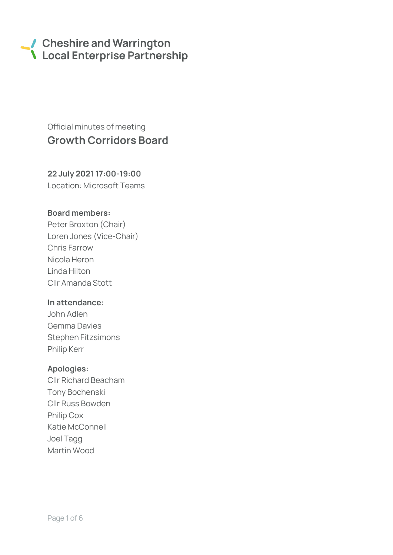# Cheshire and Warrington **\** Local Enterprise Partnership

# Official minutes of meeting Growth Corridors Board

# 22 July 2021 17:00-19:00 Location: Microsoft Teams

# Board members:

Peter Broxton (Chair) Loren Jones (Vice-Chair) Chris Farrow Nicola Heron Linda Hilton Cllr Amanda Stott

### In attendance:

John Adlen Gemma Davies Stephen Fitzsimons Philip Kerr

### Apologies:

Cllr Richard Beacham Tony Bochenski Cllr Russ Bowden Philip Cox Katie McConnell Joel Tagg Martin Wood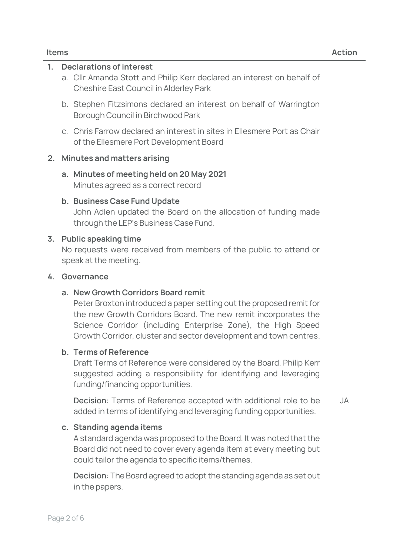# 1. Declarations of interest

- a. Cllr Amanda Stott and Philip Kerr declared an interest on behalf of Cheshire East Council in Alderley Park
- b. Stephen Fitzsimons declared an interest on behalf of Warrington Borough Council in Birchwood Park
- c. Chris Farrow declared an interest in sites in Ellesmere Port as Chair of the Ellesmere Port Development Board

# 2. Minutes and matters arising

a. Minutes of meeting held on 20 May 2021 Minutes agreed as a correct record

### b. Business Case Fund Update

John Adlen updated the Board on the allocation of funding made through the LEP's Business Case Fund.

### 3. Public speaking time

No requests were received from members of the public to attend or speak at the meeting.

### 4. Governance

### a. New Growth Corridors Board remit

Peter Broxton introduced a paper setting out the proposed remit for the new Growth Corridors Board. The new remit incorporates the Science Corridor (including Enterprise Zone), the High Speed Growth Corridor, cluster and sector development and town centres.

### b. Terms of Reference

Draft Terms of Reference were considered by the Board. Philip Kerr suggested adding a responsibility for identifying and leveraging funding/financing opportunities.

**Decision:** Terms of Reference accepted with additional role to be added in terms of identifying and leveraging funding opportunities. JA

### c. Standing agenda items

A standard agenda was proposed to the Board. It was noted that the Board did not need to cover every agenda item at every meeting but could tailor the agenda to specific items/themes.

**Decision:** The Board agreed to adopt the standing agenda as set out in the papers.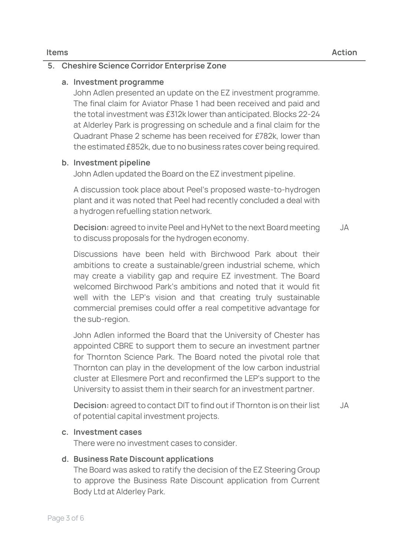# 5. Cheshire Science Corridor Enterprise Zone

# a. Investment programme

John Adlen presented an update on the EZ investment programme. The final claim for Aviator Phase 1 had been received and paid and the total investment was £312k lower than anticipated. Blocks 22-24 at Alderley Park is progressing on schedule and a final claim for the Quadrant Phase 2 scheme has been received for £782k, lower than the estimated £852k, due to no business rates cover being required.

# b. Investment pipeline

John Adlen updated the Board on the EZ investment pipeline.

A discussion took place about Peel's proposed waste-to-hydrogen plant and it was noted that Peel had recently concluded a deal with a hydrogen refuelling station network.

**Decision:** agreed to invite Peel and HyNet to the next Board meeting to discuss proposals for the hydrogen economy. JA

Discussions have been held with Birchwood Park about their ambitions to create a sustainable/green industrial scheme, which may create a viability gap and require EZ investment. The Board welcomed Birchwood Park's ambitions and noted that it would fit well with the LEP's vision and that creating truly sustainable commercial premises could offer a real competitive advantage for the sub-region.

John Adlen informed the Board that the University of Chester has appointed CBRE to support them to secure an investment partner for Thornton Science Park. The Board noted the pivotal role that Thornton can play in the development of the low carbon industrial cluster at Ellesmere Port and reconfirmed the LEP's support to the University to assist them in their search for an investment partner.

**Decision:** agreed to contact DIT to find out if Thornton is on their list of potential capital investment projects. JA

### c. Investment cases

There were no investment cases to consider.

# d. Business Rate Discount applications

The Board was asked to ratify the decision of the EZ Steering Group to approve the Business Rate Discount application from Current Body Ltd at Alderley Park.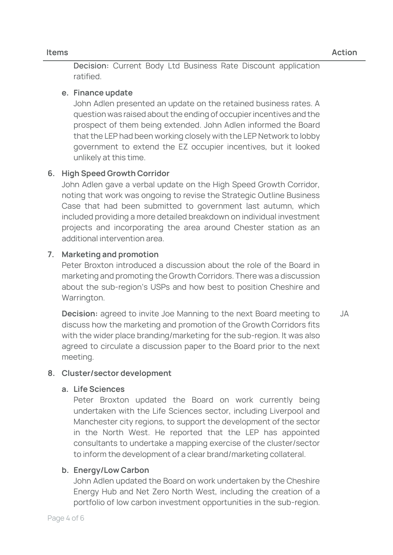**Decision:** Current Body Ltd Business Rate Discount application ratified.

# e. Finance update

John Adlen presented an update on the retained business rates. A question was raised about the ending of occupier incentives and the prospect of them being extended. John Adlen informed the Board that the LEP had been working closely with the LEP Network to lobby government to extend the EZ occupier incentives, but it looked unlikely at this time.

# 6. High Speed Growth Corridor

John Adlen gave a verbal update on the High Speed Growth Corridor, noting that work was ongoing to revise the Strategic Outline Business Case that had been submitted to government last autumn, which included providing a more detailed breakdown on individual investment projects and incorporating the area around Chester station as an additional intervention area.

# 7. Marketing and promotion

Peter Broxton introduced a discussion about the role of the Board in marketing and promoting the Growth Corridors. There was a discussion about the sub-region's USPs and how best to position Cheshire and Warrington.

Decision: agreed to invite Joe Manning to the next Board meeting to discuss how the marketing and promotion of the Growth Corridors fits with the wider place branding/marketing for the sub-region. It was also agreed to circulate a discussion paper to the Board prior to the next meeting. JA

# 8. Cluster/sector development

# a. Life Sciences

Peter Broxton updated the Board on work currently being undertaken with the Life Sciences sector, including Liverpool and Manchester city regions, to support the development of the sector in the North West. He reported that the LEP has appointed consultants to undertake a mapping exercise of the cluster/sector to inform the development of a clear brand/marketing collateral.

# b. Energy/Low Carbon

John Adlen updated the Board on work undertaken by the Cheshire Energy Hub and Net Zero North West, including the creation of a portfolio of low carbon investment opportunities in the sub-region.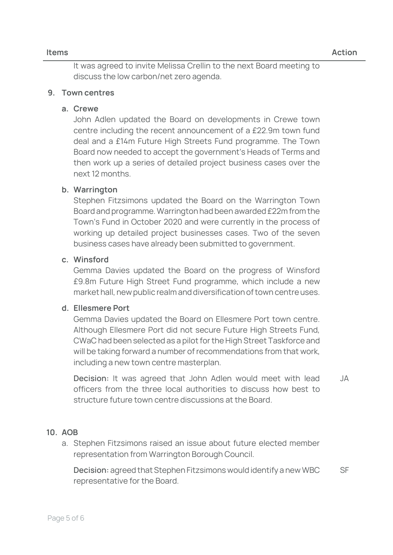It was agreed to invite Melissa Crellin to the next Board meeting to discuss the low carbon/net zero agenda.

# 9. Town centres

#### a. Crewe

John Adlen updated the Board on developments in Crewe town centre including the recent announcement of a £22.9m town fund deal and a £14m Future High Streets Fund programme. The Town Board now needed to accept the government's Heads of Terms and then work up a series of detailed project business cases over the next 12 months.

### b. Warrington

Stephen Fitzsimons updated the Board on the Warrington Town Board and programme. Warrington had been awarded £22m from the Town's Fund in October 2020 and were currently in the process of working up detailed project businesses cases. Two of the seven business cases have already been submitted to government.

## c. Winsford

Gemma Davies updated the Board on the progress of Winsford £9.8m Future High Street Fund programme, which include a new market hall, new public realm and diversification of town centre uses.

# d. Ellesmere Port

Gemma Davies updated the Board on Ellesmere Port town centre. Although Ellesmere Port did not secure Future High Streets Fund, CWaC had been selected as a pilot for the High Street Taskforce and will be taking forward a number of recommendations from that work, including a new town centre masterplan.

**Decision:** It was agreed that John Adlen would meet with lead officers from the three local authorities to discuss how best to structure future town centre discussions at the Board. JA

# 10. AOB

a. Stephen Fitzsimons raised an issue about future elected member representation from Warrington Borough Council.

**Decision:** agreed that Stephen Fitzsimons would identify a new WBC representative for the Board. SF